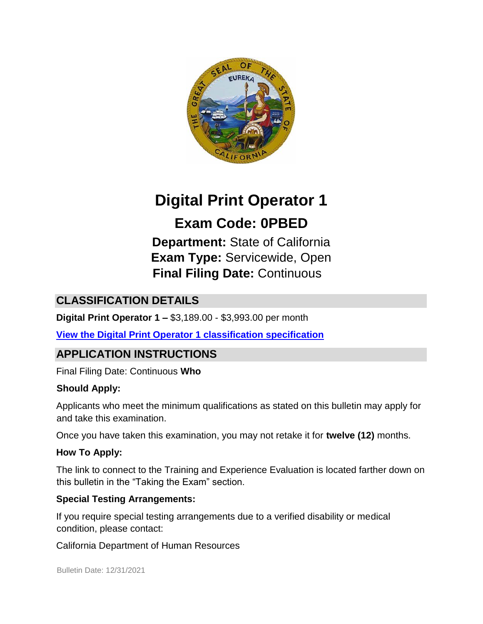

# **Digital Print Operator 1**

# **Exam Code: 0PBED**

**Department:** State of California **Exam Type:** Servicewide, Open **Final Filing Date:** Continuous

# **CLASSIFICATION DETAILS**

**Digital Print Operator 1 –** \$3,189.00 - \$3,993.00 per month

**[View the Digital Print Operator 1 classification specification](https://www.calhr.ca.gov/state-hr-professionals/Pages/1411.aspx)**

# **APPLICATION INSTRUCTIONS**

Final Filing Date: Continuous **Who** 

#### **Should Apply:**

Applicants who meet the minimum qualifications as stated on this bulletin may apply for and take this examination.

Once you have taken this examination, you may not retake it for **twelve (12)** months.

#### **How To Apply:**

The link to connect to the Training and Experience Evaluation is located farther down on this bulletin in the "Taking the Exam" section.

#### **Special Testing Arrangements:**

If you require special testing arrangements due to a verified disability or medical condition, please contact:

California Department of Human Resources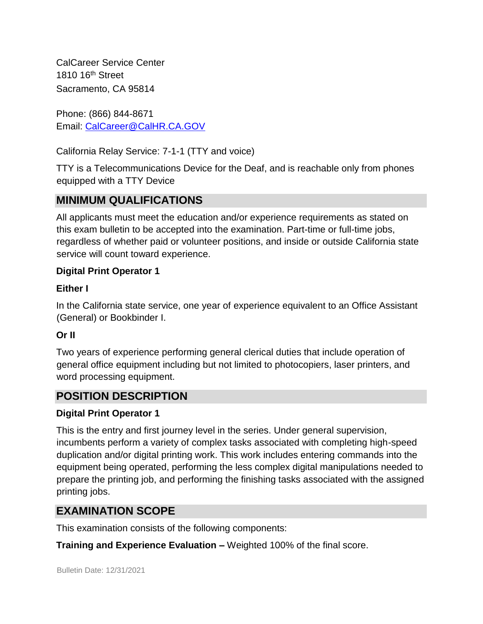CalCareer Service Center 1810 16th Street Sacramento, CA 95814

Phone: (866) 844-8671 Email: CalCareer@CalHR.CA.GOV

California Relay Service: 7-1-1 (TTY and voice)

TTY is a Telecommunications Device for the Deaf, and is reachable only from phones equipped with a TTY Device

# **MINIMUM QUALIFICATIONS**

All applicants must meet the education and/or experience requirements as stated on this exam bulletin to be accepted into the examination. Part-time or full-time jobs, regardless of whether paid or volunteer positions, and inside or outside California state service will count toward experience.

#### **Digital Print Operator 1**

#### **Either I**

In the California state service, one year of experience equivalent to an Office Assistant (General) or Bookbinder I.

#### **Or II**

Two years of experience performing general clerical duties that include operation of general office equipment including but not limited to photocopiers, laser printers, and word processing equipment.

# **POSITION DESCRIPTION**

#### **Digital Print Operator 1**

This is the entry and first journey level in the series. Under general supervision, incumbents perform a variety of complex tasks associated with completing high-speed duplication and/or digital printing work. This work includes entering commands into the equipment being operated, performing the less complex digital manipulations needed to prepare the printing job, and performing the finishing tasks associated with the assigned printing jobs.

# **EXAMINATION SCOPE**

This examination consists of the following components:

**Training and Experience Evaluation –** Weighted 100% of the final score.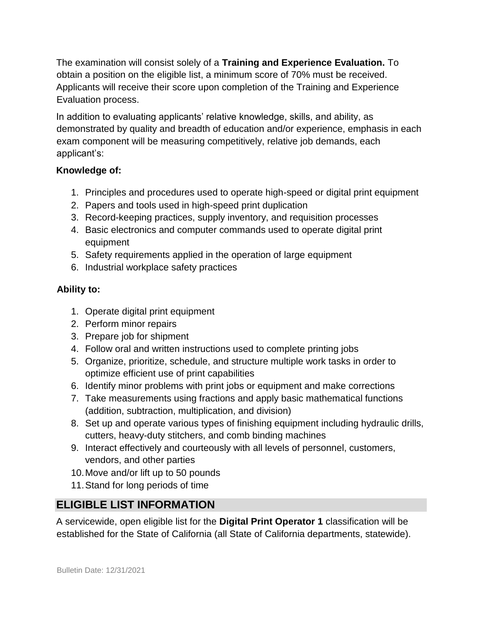The examination will consist solely of a **Training and Experience Evaluation.** To obtain a position on the eligible list, a minimum score of 70% must be received. Applicants will receive their score upon completion of the Training and Experience Evaluation process.

In addition to evaluating applicants' relative knowledge, skills, and ability, as demonstrated by quality and breadth of education and/or experience, emphasis in each exam component will be measuring competitively, relative job demands, each applicant's:

#### **Knowledge of:**

- 1. Principles and procedures used to operate high-speed or digital print equipment
- 2. Papers and tools used in high-speed print duplication
- 3. Record-keeping practices, supply inventory, and requisition processes
- 4. Basic electronics and computer commands used to operate digital print equipment
- 5. Safety requirements applied in the operation of large equipment
- 6. Industrial workplace safety practices

#### **Ability to:**

- 1. Operate digital print equipment
- 2. Perform minor repairs
- 3. Prepare job for shipment
- 4. Follow oral and written instructions used to complete printing jobs
- 5. Organize, prioritize, schedule, and structure multiple work tasks in order to optimize efficient use of print capabilities
- 6. Identify minor problems with print jobs or equipment and make corrections
- 7. Take measurements using fractions and apply basic mathematical functions (addition, subtraction, multiplication, and division)
- 8. Set up and operate various types of finishing equipment including hydraulic drills, cutters, heavy-duty stitchers, and comb binding machines
- 9. Interact effectively and courteously with all levels of personnel, customers, vendors, and other parties
- 10.Move and/or lift up to 50 pounds
- 11.Stand for long periods of time

# **ELIGIBLE LIST INFORMATION**

A servicewide, open eligible list for the **Digital Print Operator 1** classification will be established for the State of California (all State of California departments, statewide).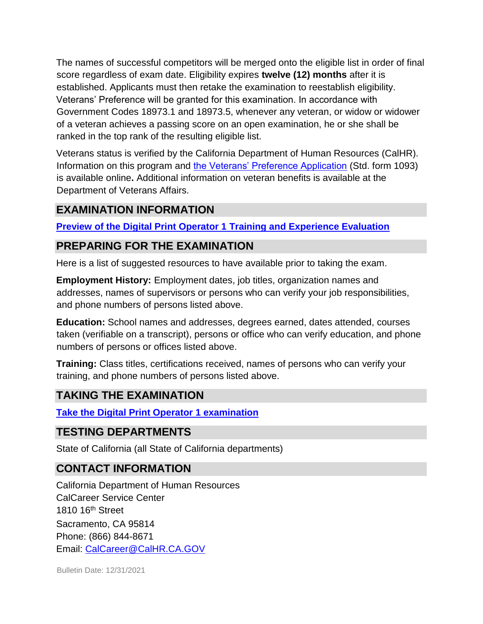The names of successful competitors will be merged onto the eligible list in order of final score regardless of exam date. Eligibility expires **twelve (12) months** after it is established. Applicants must then retake the examination to reestablish eligibility. Veterans' Preference will be granted for this examination. In accordance with Government Codes 18973.1 and 18973.5, whenever any veteran, or widow or widower of a veteran achieves a passing score on an open examination, he or she shall be ranked in the top rank of the resulting eligible list.

Veterans status is verified by the California Department of Human Resources (CalHR). Information on this program and [the Veterans' Preference Application](https://www.jobs.ca.gov/CalHRPublic/Landing/Jobs/VeteransInformation.aspx) [\(](https://www.jobs.ca.gov/CalHRPublic/Landing/Jobs/VeteransInformation.aspx)Std. form 1093) is available online**.** Additional information on veteran benefits is available at the Department of Veterans Affairs.

#### **EXAMINATION INFORMATION**

**[Preview of the](https://jobs.ca.gov/jobsgen/0PBEDa.pdf) [Digital Print Operator 1](https://jobs.ca.gov/jobsgen/0PBEDa.pdf) [Training and Experience Evaluation](https://jobs.ca.gov/jobsgen/0PBEDa.pdf)**

### **PREPARING FOR THE EXAMINATION**

Here is a list of suggested resources to have available prior to taking the exam.

**Employment History:** Employment dates, job titles, organization names and addresses, names of supervisors or persons who can verify your job responsibilities, and phone numbers of persons listed above.

**Education:** School names and addresses, degrees earned, dates attended, courses taken (verifiable on a transcript), persons or office who can verify education, and phone numbers of persons or offices listed above.

**Training:** Class titles, certifications received, names of persons who can verify your training, and phone numbers of persons listed above.

# **TAKING THE EXAMINATION**

**[Take the](https://www.jobs.ca.gov/CalHRPublic/Login.aspx?ExamId=0PBED) [Digital Print Operator 1 examination](https://www.jobs.ca.gov/CalHRPublic/Login.aspx?ExamId=0PBED)**

# **TESTING DEPARTMENTS**

State of California (all State of California departments)

# **CONTACT INFORMATION**

California Department of Human Resources CalCareer Service Center 1810 16<sup>th</sup> Street Sacramento, CA 95814 Phone: (866) 844-8671 Email: CalCareer@CalHR.CA.GOV

Bulletin Date: 12/31/2021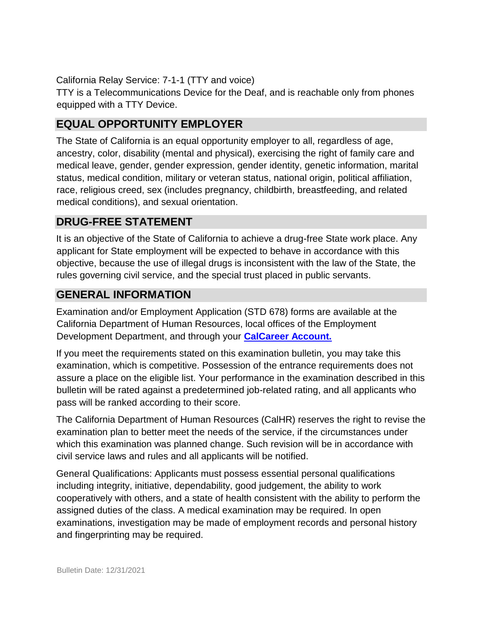California Relay Service: 7-1-1 (TTY and voice)

TTY is a Telecommunications Device for the Deaf, and is reachable only from phones equipped with a TTY Device.

# **EQUAL OPPORTUNITY EMPLOYER**

The State of California is an equal opportunity employer to all, regardless of age, ancestry, color, disability (mental and physical), exercising the right of family care and medical leave, gender, gender expression, gender identity, genetic information, marital status, medical condition, military or veteran status, national origin, political affiliation, race, religious creed, sex (includes pregnancy, childbirth, breastfeeding, and related medical conditions), and sexual orientation.

# **DRUG-FREE STATEMENT**

It is an objective of the State of California to achieve a drug-free State work place. Any applicant for State employment will be expected to behave in accordance with this objective, because the use of illegal drugs is inconsistent with the law of the State, the rules governing civil service, and the special trust placed in public servants.

### **GENERAL INFORMATION**

Examination and/or Employment Application (STD 678) forms are available at the California Department of Human Resources, local offices of the Employment Development Department, and through your **[CalCareer Account.](http://www.jobs.ca.gov/)**

If you meet the requirements stated on this examination bulletin, you may take this examination, which is competitive. Possession of the entrance requirements does not assure a place on the eligible list. Your performance in the examination described in this bulletin will be rated against a predetermined job-related rating, and all applicants who pass will be ranked according to their score.

The California Department of Human Resources (CalHR) reserves the right to revise the examination plan to better meet the needs of the service, if the circumstances under which this examination was planned change. Such revision will be in accordance with civil service laws and rules and all applicants will be notified.

General Qualifications: Applicants must possess essential personal qualifications including integrity, initiative, dependability, good judgement, the ability to work cooperatively with others, and a state of health consistent with the ability to perform the assigned duties of the class. A medical examination may be required. In open examinations, investigation may be made of employment records and personal history and fingerprinting may be required.